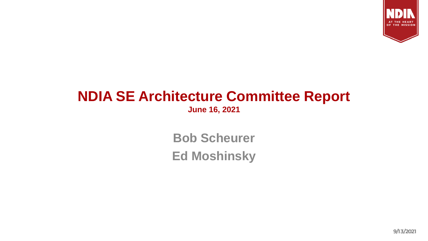

## **NDIA SE Architecture Committee Report June 16, 2021**

**Bob Scheurer Ed Moshinsky**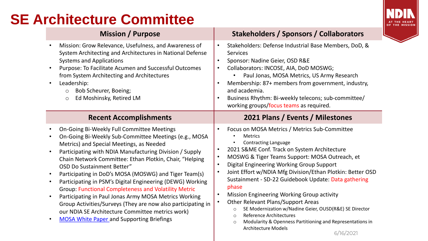# **SE Architecture Committee**



- Mission: Grow Relevance, Usefulness, and Awareness of System Architecting and Architectures in National Defense Systems and Applications
- Purpose: To Facilitate Acumen and Successful Outcomes from System Architecting and Architectures
- Leadership:
	- o Bob Scheurer, Boeing;
	- o Ed Moshinsky, Retired LM

- On-Going Bi-Weekly Full Committee Meetings
- On-Going Bi-Weekly Sub-Committee Meetings (e.g., MOSA Metrics) and Special Meetings, as Needed
- Participating with NDIA Manufacturing Division / Supply Chain Network Committee: Ethan Plotkin, Chair, "Helping OSD Do Sustainment Better"
- Participating in DoD's MOSA (MOSWG) and Tiger Team(s)
- Participating in PSM's Digital Engineering (DEWG) Working Group: Functional Completeness and Volatility Metric
- Participating in Paul Jonas Army MOSA Metrics Working Group Activities/Surveys (They are now also participating in our NDIA SE Architecture Committee metrics work)
- [MOSA White Paper a](https://www.incose.org/docs/default-source/midwest-gateway/events/ndia_mosa_whitepaper_final_20200701.pdf)nd Supporting Briefings

### **Mission / Purpose Stakeholders / Sponsors / Collaborators**

- Stakeholders: Defense Industrial Base Members, DoD, & **Services**
- Sponsor: Nadine Geier, OSD R&E
- Collaborators: INCOSE, AIA, DoD MOSWG;
	- Paul Jonas, MOSA Metrics, US Army Research
- Membership: 87+ members from government, industry, and academia.
- Business Rhythm: Bi-weekly telecons; sub-committee/ working groups/focus teams as required.

### **Recent Accomplishments 2021 Plans / Events / Milestones**

- Focus on MOSA Metrics / Metrics Sub-Committee
	- **Metrics**
	- Contracting Language
- 2021 S&ME Conf. Track on System Architecture
- MOSWG & Tiger Teams Support: MOSA Outreach, et
- Digital Engineering Working Group Support
- Joint Effort w/NDIA Mfg Division/Ethan Plotkin: Better OSD Sustainment - SD-22 Guidebook Update: Data gathering phase
- Mission Engineering Working Group activity
- Other Relevant Plans/Support Areas
	- o SE Modernization w/Nadine Geier, OUSD(R&E) SE Director
	- o Reference Architectures
	- o Modularity & Openness Partitioning and Representations in Architecture Models